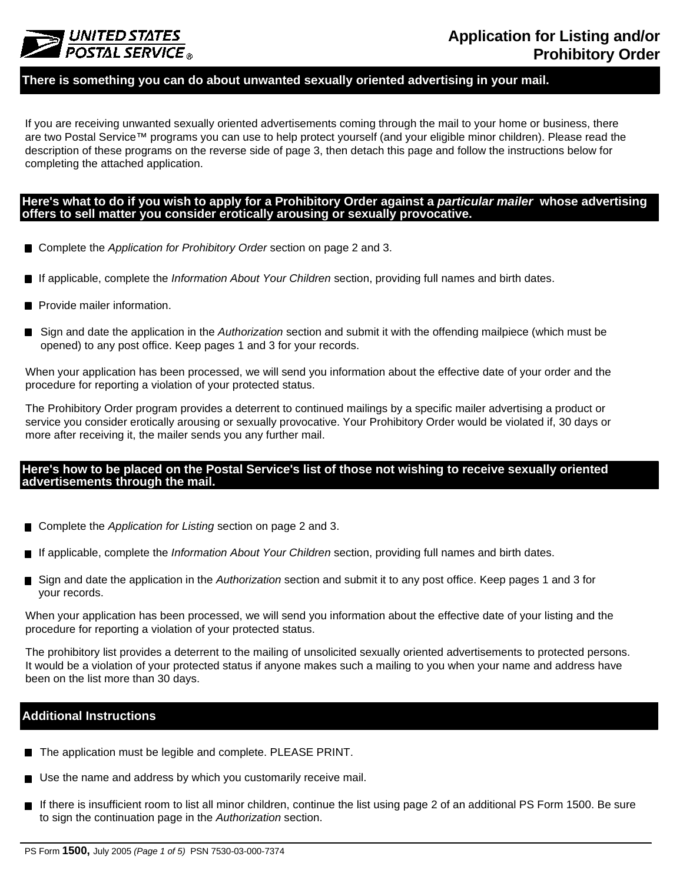

### **There is something you can do about unwanted sexually oriented advertising in your mail.**

If you are receiving unwanted sexually oriented advertisements coming through the mail to your home or business, there are two Postal Service™ programs you can use to help protect yourself (and your eligible minor children). Please read the description of these programs on the reverse side of page 3, then detach this page and follow the instructions below for completing the attached application.

### Here's what to do if you wish to apply for a Prohibitory Order against a particular mailer whose advertising **offers to sell matter you consider erotically arousing or sexually provocative.**

- Complete the *Application for Prohibitory Order* section on page 2 and 3.
- If applicable, complete the *Information About Your Children* section, providing full names and birth dates.
- Provide mailer information.
- Sign and date the application in the *Authorization* section and submit it with the offending mailpiece (which must be opened) to any post office. Keep pages 1 and 3 for your records.

When your application has been processed, we will send you information about the effective date of your order and the procedure for reporting a violation of your protected status.

The Prohibitory Order program provides a deterrent to continued mailings by a specific mailer advertising a product or service you consider erotically arousing or sexually provocative. Your Prohibitory Order would be violated if, 30 days or more after receiving it, the mailer sends you any further mail.

### Here's how to be placed on the Postal Service's list of those not wishing to receive sexually oriented **advertisements through the mail.**

- Complete the *Application for Listing* section on page 2 and 3.
- If applicable, complete the *Information About Your Children* section, providing full names and birth dates.
- Sign and date the application in the *Authorization* section and submit it to any post office. Keep pages 1 and 3 for your records.

When your application has been processed, we will send you information about the effective date of your listing and the procedure for reporting a violation of your protected status.

The prohibitory list provides a deterrent to the mailing of unsolicited sexually oriented advertisements to protected persons. It would be a violation of your protected status if anyone makes such a mailing to you when your name and address have been on the list more than 30 days.

### **Additional Instructions**

- The application must be legible and complete. PLEASE PRINT.
- Use the name and address by which you customarily receive mail.
- If there is insufficient room to list all minor children, continue the list using page 2 of an additional PS Form 1500. Be sure to sign the continuation page in the *Authorization* section.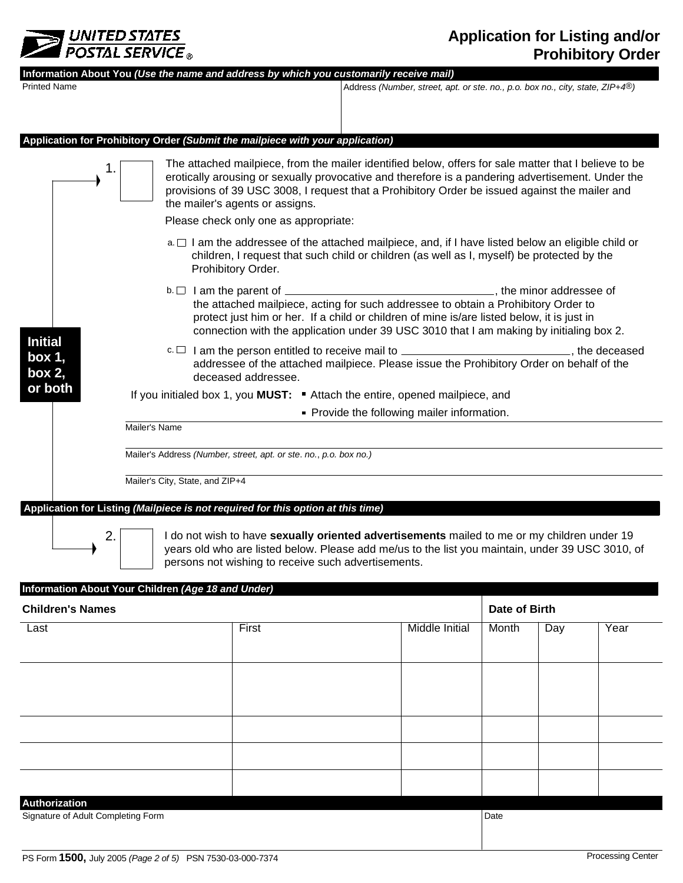

| <b>Printed Name</b>                                                                                                                                                                                                                                                                                                                                     |                                                    | Information About You (Use the name and address by which you customarily receive mail)                                                                                                                                                                                                                                                                                                   | Address (Number, street, apt. or ste. no., p.o. box no., city, state, ZIP+4 <sup>®</sup> )                                                                                                                                                                                  |               |     |      |  |
|---------------------------------------------------------------------------------------------------------------------------------------------------------------------------------------------------------------------------------------------------------------------------------------------------------------------------------------------------------|----------------------------------------------------|------------------------------------------------------------------------------------------------------------------------------------------------------------------------------------------------------------------------------------------------------------------------------------------------------------------------------------------------------------------------------------------|-----------------------------------------------------------------------------------------------------------------------------------------------------------------------------------------------------------------------------------------------------------------------------|---------------|-----|------|--|
|                                                                                                                                                                                                                                                                                                                                                         |                                                    |                                                                                                                                                                                                                                                                                                                                                                                          |                                                                                                                                                                                                                                                                             |               |     |      |  |
|                                                                                                                                                                                                                                                                                                                                                         |                                                    | Application for Prohibitory Order (Submit the mailpiece with your application)                                                                                                                                                                                                                                                                                                           |                                                                                                                                                                                                                                                                             |               |     |      |  |
|                                                                                                                                                                                                                                                                                                                                                         |                                                    | The attached mailpiece, from the mailer identified below, offers for sale matter that I believe to be<br>erotically arousing or sexually provocative and therefore is a pandering advertisement. Under the<br>provisions of 39 USC 3008, I request that a Prohibitory Order be issued against the mailer and<br>the mailer's agents or assigns.<br>Please check only one as appropriate: |                                                                                                                                                                                                                                                                             |               |     |      |  |
|                                                                                                                                                                                                                                                                                                                                                         |                                                    | a. $\Box$ I am the addressee of the attached mailpiece, and, if I have listed below an eligible child or<br>children, I request that such child or children (as well as I, myself) be protected by the<br>Prohibitory Order.                                                                                                                                                             |                                                                                                                                                                                                                                                                             |               |     |      |  |
|                                                                                                                                                                                                                                                                                                                                                         |                                                    |                                                                                                                                                                                                                                                                                                                                                                                          | the attached mailpiece, acting for such addressee to obtain a Prohibitory Order to<br>protect just him or her. If a child or children of mine is/are listed below, it is just in<br>connection with the application under 39 USC 3010 that I am making by initialing box 2. |               |     |      |  |
| <b>Initial</b><br>c. □ I am the person entitled to receive mail to _______________________________, the deceased<br>box 1,<br>addressee of the attached mailpiece. Please issue the Prohibitory Order on behalf of the<br>box 2,<br>deceased addressee.<br>or both<br>If you initialed box 1, you <b>MUST:</b> Attach the entire, opened mailpiece, and |                                                    |                                                                                                                                                                                                                                                                                                                                                                                          |                                                                                                                                                                                                                                                                             |               |     |      |  |
|                                                                                                                                                                                                                                                                                                                                                         |                                                    |                                                                                                                                                                                                                                                                                                                                                                                          |                                                                                                                                                                                                                                                                             |               |     |      |  |
|                                                                                                                                                                                                                                                                                                                                                         |                                                    | • Provide the following mailer information.                                                                                                                                                                                                                                                                                                                                              |                                                                                                                                                                                                                                                                             |               |     |      |  |
|                                                                                                                                                                                                                                                                                                                                                         | Mailer's Name                                      |                                                                                                                                                                                                                                                                                                                                                                                          |                                                                                                                                                                                                                                                                             |               |     |      |  |
|                                                                                                                                                                                                                                                                                                                                                         |                                                    | Mailer's Address (Number, street, apt. or ste. no., p.o. box no.)                                                                                                                                                                                                                                                                                                                        |                                                                                                                                                                                                                                                                             |               |     |      |  |
|                                                                                                                                                                                                                                                                                                                                                         | Mailer's City, State, and ZIP+4                    |                                                                                                                                                                                                                                                                                                                                                                                          |                                                                                                                                                                                                                                                                             |               |     |      |  |
|                                                                                                                                                                                                                                                                                                                                                         |                                                    | Application for Listing (Mailpiece is not required for this option at this time)                                                                                                                                                                                                                                                                                                         |                                                                                                                                                                                                                                                                             |               |     |      |  |
| 2.                                                                                                                                                                                                                                                                                                                                                      |                                                    | I do not wish to have sexually oriented advertisements mailed to me or my children under 19<br>years old who are listed below. Please add me/us to the list you maintain, under 39 USC 3010, of<br>persons not wishing to receive such advertisements.                                                                                                                                   |                                                                                                                                                                                                                                                                             |               |     |      |  |
|                                                                                                                                                                                                                                                                                                                                                         | Information About Your Children (Age 18 and Under) |                                                                                                                                                                                                                                                                                                                                                                                          |                                                                                                                                                                                                                                                                             |               |     |      |  |
| <b>Children's Names</b>                                                                                                                                                                                                                                                                                                                                 |                                                    |                                                                                                                                                                                                                                                                                                                                                                                          |                                                                                                                                                                                                                                                                             | Date of Birth |     |      |  |
| Last                                                                                                                                                                                                                                                                                                                                                    |                                                    | First                                                                                                                                                                                                                                                                                                                                                                                    | Middle Initial                                                                                                                                                                                                                                                              | Month         | Day | Year |  |
|                                                                                                                                                                                                                                                                                                                                                         |                                                    |                                                                                                                                                                                                                                                                                                                                                                                          |                                                                                                                                                                                                                                                                             |               |     |      |  |

| <b>Authorization</b><br>Signature of Adult Completing Form |  |  |      |  |  |
|------------------------------------------------------------|--|--|------|--|--|
|                                                            |  |  | Date |  |  |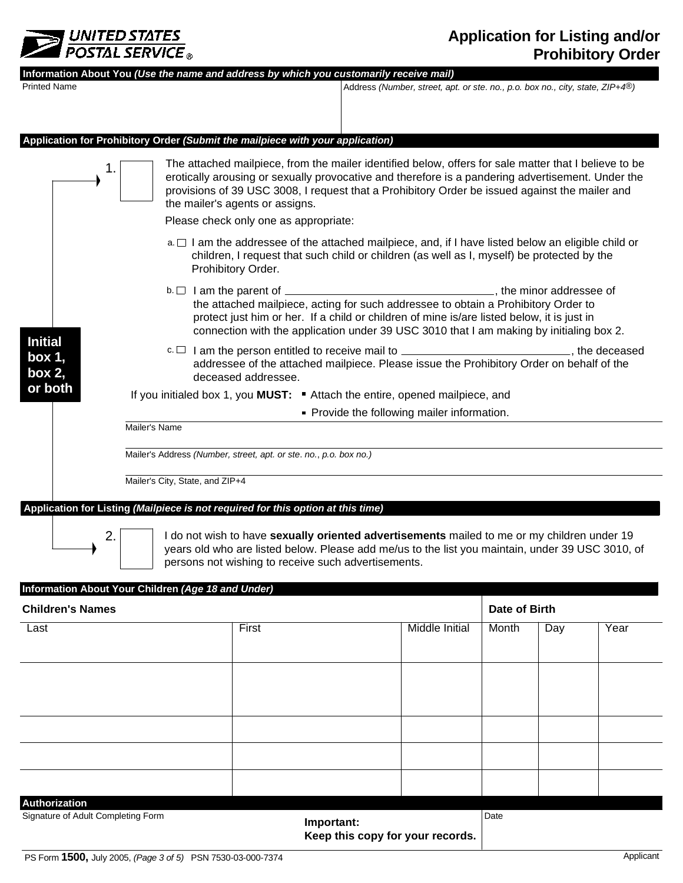

## **Application for Listing and/or Prohibitory Order**

| <b>Printed Name</b>                | Information About You (Use the name and address by which you customarily receive mail) |                                                                                                                                                                                                                                                                                                                                                                                                                                                                                                                                        | Address (Number, street, apt. or ste. no., p.o. box no., city, state, ZIP+4 <sup>®</sup> ) |                       |               |     |      |  |  |
|------------------------------------|----------------------------------------------------------------------------------------|----------------------------------------------------------------------------------------------------------------------------------------------------------------------------------------------------------------------------------------------------------------------------------------------------------------------------------------------------------------------------------------------------------------------------------------------------------------------------------------------------------------------------------------|--------------------------------------------------------------------------------------------|-----------------------|---------------|-----|------|--|--|
|                                    |                                                                                        |                                                                                                                                                                                                                                                                                                                                                                                                                                                                                                                                        |                                                                                            |                       |               |     |      |  |  |
|                                    | Application for Prohibitory Order (Submit the mailpiece with your application)         |                                                                                                                                                                                                                                                                                                                                                                                                                                                                                                                                        |                                                                                            |                       |               |     |      |  |  |
|                                    |                                                                                        | The attached mailpiece, from the mailer identified below, offers for sale matter that I believe to be<br>erotically arousing or sexually provocative and therefore is a pandering advertisement. Under the<br>provisions of 39 USC 3008, I request that a Prohibitory Order be issued against the mailer and<br>the mailer's agents or assigns.                                                                                                                                                                                        |                                                                                            |                       |               |     |      |  |  |
|                                    |                                                                                        | Please check only one as appropriate:                                                                                                                                                                                                                                                                                                                                                                                                                                                                                                  |                                                                                            |                       |               |     |      |  |  |
|                                    |                                                                                        | a. $\Box$ I am the addressee of the attached mailpiece, and, if I have listed below an eligible child or<br>children, I request that such child or children (as well as I, myself) be protected by the<br>Prohibitory Order.                                                                                                                                                                                                                                                                                                           |                                                                                            |                       |               |     |      |  |  |
|                                    |                                                                                        | $b.\Box$ I am the parent of $\Box$ and $\Box$ is a set of $\Box$ is a set of $\Box$ is a set of $\Box$ is a set of $\Box$ is a set of $\Box$ is a set of $\Box$ is a set of $\Box$ is a set of $\Box$ is a set of $\Box$ is a set of $\Box$ is a set of<br>the attached mailpiece, acting for such addressee to obtain a Prohibitory Order to<br>protect just him or her. If a child or children of mine is/are listed below, it is just in<br>connection with the application under 39 USC 3010 that I am making by initialing box 2. |                                                                                            |                       |               |     |      |  |  |
| <b>Initial</b><br>box 1,<br>box 2, |                                                                                        | c. □ I am the person entitled to receive mail to _______________________________, the deceased<br>addressee of the attached mailpiece. Please issue the Prohibitory Order on behalf of the<br>deceased addressee.                                                                                                                                                                                                                                                                                                                      |                                                                                            |                       |               |     |      |  |  |
| or both                            | If you initialed box 1, you <b>MUST:</b> Attach the entire, opened mailpiece, and      |                                                                                                                                                                                                                                                                                                                                                                                                                                                                                                                                        |                                                                                            |                       |               |     |      |  |  |
|                                    | • Provide the following mailer information.                                            |                                                                                                                                                                                                                                                                                                                                                                                                                                                                                                                                        |                                                                                            |                       |               |     |      |  |  |
|                                    | Mailer's Name                                                                          |                                                                                                                                                                                                                                                                                                                                                                                                                                                                                                                                        |                                                                                            |                       |               |     |      |  |  |
|                                    | Mailer's Address (Number, street, apt. or ste. no., p.o. box no.)                      |                                                                                                                                                                                                                                                                                                                                                                                                                                                                                                                                        |                                                                                            |                       |               |     |      |  |  |
|                                    | Mailer's City, State, and ZIP+4                                                        |                                                                                                                                                                                                                                                                                                                                                                                                                                                                                                                                        |                                                                                            |                       |               |     |      |  |  |
|                                    |                                                                                        |                                                                                                                                                                                                                                                                                                                                                                                                                                                                                                                                        |                                                                                            |                       |               |     |      |  |  |
| 2.                                 | Application for Listing (Mailpiece is not required for this option at this time)       | I do not wish to have sexually oriented advertisements mailed to me or my children under 19<br>years old who are listed below. Please add me/us to the list you maintain, under 39 USC 3010, of                                                                                                                                                                                                                                                                                                                                        |                                                                                            |                       |               |     |      |  |  |
|                                    |                                                                                        | persons not wishing to receive such advertisements.                                                                                                                                                                                                                                                                                                                                                                                                                                                                                    |                                                                                            |                       |               |     |      |  |  |
|                                    | Information About Your Children (Age 18 and Under)                                     |                                                                                                                                                                                                                                                                                                                                                                                                                                                                                                                                        |                                                                                            |                       |               |     |      |  |  |
| <b>Children's Names</b>            |                                                                                        |                                                                                                                                                                                                                                                                                                                                                                                                                                                                                                                                        |                                                                                            |                       | Date of Birth |     |      |  |  |
| Last                               |                                                                                        | First                                                                                                                                                                                                                                                                                                                                                                                                                                                                                                                                  |                                                                                            | <b>Middle Initial</b> | Month         | Day | Year |  |  |
|                                    |                                                                                        |                                                                                                                                                                                                                                                                                                                                                                                                                                                                                                                                        |                                                                                            |                       |               |     |      |  |  |
|                                    |                                                                                        |                                                                                                                                                                                                                                                                                                                                                                                                                                                                                                                                        |                                                                                            |                       |               |     |      |  |  |
|                                    |                                                                                        |                                                                                                                                                                                                                                                                                                                                                                                                                                                                                                                                        |                                                                                            |                       |               |     |      |  |  |
|                                    |                                                                                        |                                                                                                                                                                                                                                                                                                                                                                                                                                                                                                                                        |                                                                                            |                       |               |     |      |  |  |
|                                    |                                                                                        |                                                                                                                                                                                                                                                                                                                                                                                                                                                                                                                                        |                                                                                            |                       |               |     |      |  |  |
|                                    |                                                                                        |                                                                                                                                                                                                                                                                                                                                                                                                                                                                                                                                        |                                                                                            |                       |               |     |      |  |  |
|                                    |                                                                                        |                                                                                                                                                                                                                                                                                                                                                                                                                                                                                                                                        |                                                                                            |                       |               |     |      |  |  |

|    | <b>Authorization</b> |  |  |  |
|----|----------------------|--|--|--|
| -- |                      |  |  |  |

Signature of Adult Completing Form **Date** Date **Date** 

**Important: Keep this copy for your records.**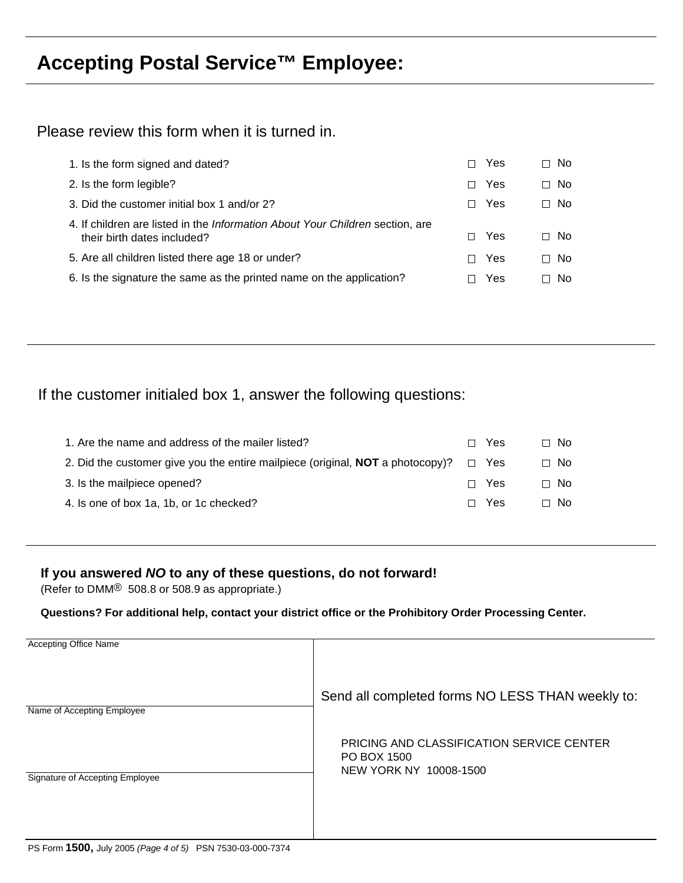# **Accepting Postal Service™ Employee:**

Please review this form when it is turned in.

| 1. Is the form signed and dated?                                                                             | Yes<br>П  | No.<br>П |
|--------------------------------------------------------------------------------------------------------------|-----------|----------|
| 2. Is the form legible?                                                                                      | Yes<br>П  | No.<br>П |
| 3. Did the customer initial box 1 and/or 2?                                                                  | Yes<br>П. | No.<br>П |
| 4. If children are listed in the Information About Your Children section, are<br>their birth dates included? | Yes<br>П  | ⊟ No     |
| 5. Are all children listed there age 18 or under?                                                            | Yes<br>П  | No.<br>П |
| 6. Is the signature the same as the printed name on the application?                                         | Yes       | N∩       |
|                                                                                                              |           |          |

If the customer initialed box 1, answer the following questions:

| 1. Are the name and address of the mailer listed?                                                | $\Box$ Yes | ⊟ No      |
|--------------------------------------------------------------------------------------------------|------------|-----------|
| 2. Did the customer give you the entire mailpiece (original, <b>NOT</b> a photocopy)? $\Box$ Yes |            | $\Box$ No |
| 3. Is the mailpiece opened?                                                                      | $\Box$ Yes | $\Box$ No |
| 4. Is one of box 1a, 1b, or 1c checked?                                                          | $\Box$ Yes | $\Box$ No |

### **If you answered** *NO* **to any of these questions, do not forward!**

(Refer to DMM® 508.8 or 508.9 as appropriate.)

**Questions? For additional help, contact your district office or the Prohibitory Order Processing Center.**

| <b>Accepting Office Name</b>    |                                                                                           |
|---------------------------------|-------------------------------------------------------------------------------------------|
| Name of Accepting Employee      | Send all completed forms NO LESS THAN weekly to:                                          |
| Signature of Accepting Employee | <b>PRICING AND CLASSIFICATION SERVICE CENTER</b><br>PO BOX 1500<br>NEW YORK NY 10008-1500 |